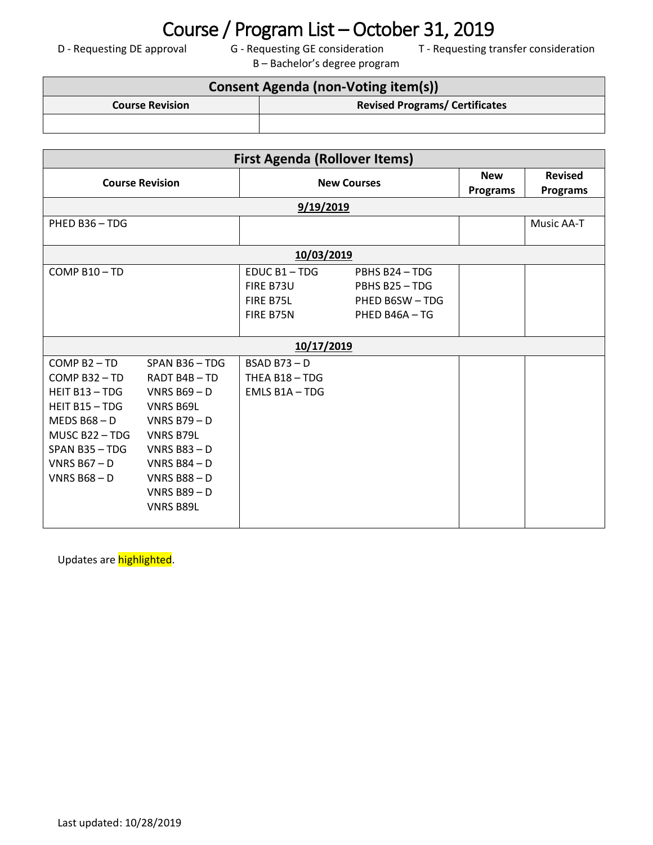### Last updated: 10/28/2019

# Course / Program List – October 31, 2019<br>
G - Requesting GE consideration<br>
T - Requesting tr

B – Bachelor's degree program

D - Requesting DE approval G - Requesting GE consideration T - Requesting transfer consideration

### **Consent Agenda (non-Voting item(s)) Course Revision Revised Programs/ Certificates**

| <b>First Agenda (Rollover Items)</b>                                                                                                                           |                                                                                                                                                                                              |                                                    |                                                                     |                               |                                   |  |  |  |
|----------------------------------------------------------------------------------------------------------------------------------------------------------------|----------------------------------------------------------------------------------------------------------------------------------------------------------------------------------------------|----------------------------------------------------|---------------------------------------------------------------------|-------------------------------|-----------------------------------|--|--|--|
| <b>Course Revision</b>                                                                                                                                         |                                                                                                                                                                                              | <b>New Courses</b>                                 |                                                                     | <b>New</b><br><b>Programs</b> | <b>Revised</b><br><b>Programs</b> |  |  |  |
| 9/19/2019                                                                                                                                                      |                                                                                                                                                                                              |                                                    |                                                                     |                               |                                   |  |  |  |
| PHED B36-TDG                                                                                                                                                   |                                                                                                                                                                                              |                                                    |                                                                     |                               | Music AA-T                        |  |  |  |
| 10/03/2019                                                                                                                                                     |                                                                                                                                                                                              |                                                    |                                                                     |                               |                                   |  |  |  |
| COMP B10-TD                                                                                                                                                    |                                                                                                                                                                                              | EDUC B1-TDG<br>FIRE B73U<br>FIRE B75L<br>FIRE B75N | PBHS B24 - TDG<br>PBHS B25-TDG<br>PHED B6SW - TDG<br>PHED B46A - TG |                               |                                   |  |  |  |
| 10/17/2019                                                                                                                                                     |                                                                                                                                                                                              |                                                    |                                                                     |                               |                                   |  |  |  |
| $COMP B2 - TD$<br>COMP B32-TD<br>HEIT B13 - TDG<br>HEIT B15 - TDG<br>MEDS $B68 - D$<br>MUSC B22-TDG<br>$SPAN$ B35 - TDG<br>VNRS $B67 - D$<br><b>VNRS B68-D</b> | SPAN B36-TDG<br>RADT B4B-TD<br>VNRS $B69 - D$<br><b>VNRS B69L</b><br>VNRS $B79 - D$<br>VNRS B79L<br>VNRS $B83 - D$<br>VNRS $B84 - D$<br>VNRS $B88 - D$<br>VNRS $B89 - D$<br><b>VNRS B89L</b> | $BSAD B73 - D$<br>THEA B18 - TDG<br>EMLS B1A - TDG |                                                                     |                               |                                   |  |  |  |

Updates are **highlighted**.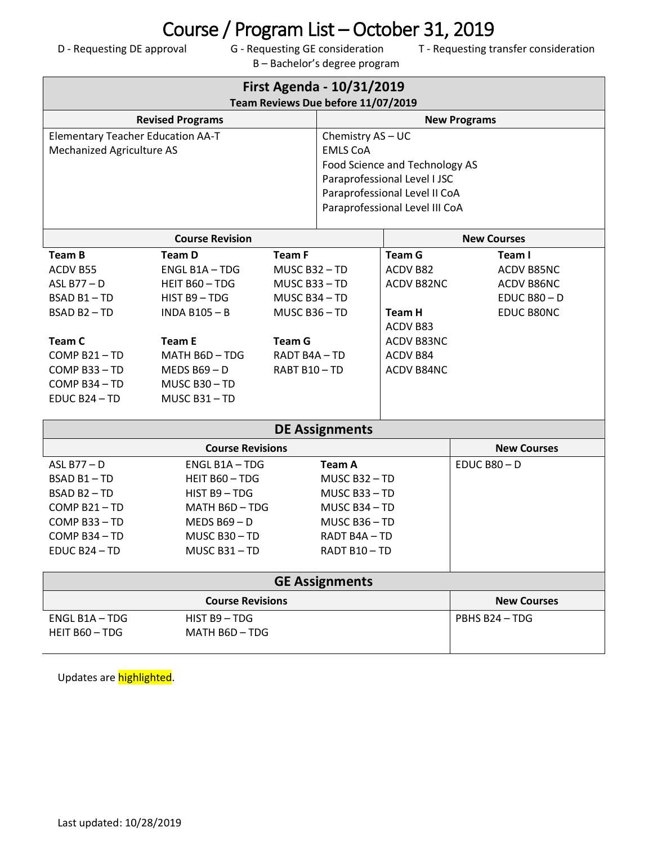# Course / Program List – October 31, 2019<br>
G - Requesting GE consideration<br>
T - Requesting tr

B – Bachelor's degree program

D - Requesting DE approval G - Requesting GE consideration T - Requesting transfer consideration

| First Agenda - 10/31/2019<br>Team Reviews Due before 11/07/2019 |                                                 |                     |                                                                |                        |                    |  |  |  |
|-----------------------------------------------------------------|-------------------------------------------------|---------------------|----------------------------------------------------------------|------------------------|--------------------|--|--|--|
| <b>Revised Programs</b>                                         |                                                 | <b>New Programs</b> |                                                                |                        |                    |  |  |  |
| <b>Elementary Teacher Education AA-T</b>                        |                                                 |                     | Chemistry AS - UC                                              |                        |                    |  |  |  |
| <b>Mechanized Agriculture AS</b>                                |                                                 |                     | <b>EMLS CoA</b>                                                |                        |                    |  |  |  |
|                                                                 |                                                 |                     | Food Science and Technology AS<br>Paraprofessional Level I JSC |                        |                    |  |  |  |
|                                                                 |                                                 |                     | Paraprofessional Level II CoA                                  |                        |                    |  |  |  |
|                                                                 |                                                 |                     | Paraprofessional Level III CoA                                 |                        |                    |  |  |  |
|                                                                 |                                                 |                     |                                                                |                        |                    |  |  |  |
| <b>Course Revision</b>                                          |                                                 |                     |                                                                |                        | <b>New Courses</b> |  |  |  |
| <b>Team B</b>                                                   | <b>Team D</b>                                   | <b>Team F</b>       |                                                                | <b>Team G</b>          | Team I             |  |  |  |
| ACDV B55                                                        | ENGL B1A - TDG                                  | MUSC B32-TD         |                                                                | ACDV B82               | ACDV B85NC         |  |  |  |
| ASL B77-D                                                       | HEIT B60 - TDG                                  | MUSC B33-TD         |                                                                | ACDV B82NC             | ACDV B86NC         |  |  |  |
| BSAD B1-TD                                                      | HIST B9-TDG                                     |                     | MUSC B34 - TD                                                  |                        | EDUC $B80 - D$     |  |  |  |
|                                                                 | BSAD B2-TD<br><b>INDA B105-B</b><br>MUSC B36-TD |                     |                                                                | <b>Team H</b>          | EDUC B80NC         |  |  |  |
| <b>Team C</b>                                                   | <b>Team E</b>                                   | <b>Team G</b>       |                                                                | ACDV B83<br>ACDV B83NC |                    |  |  |  |
| COMP B21-TD                                                     | MATH B6D-TDG                                    | RADT B4A-TD         |                                                                | ACDV B84               |                    |  |  |  |
| COMP B33-TD                                                     | MEDS $B69 - D$                                  | RABT B10-TD         |                                                                | ACDV B84NC             |                    |  |  |  |
| COMP B34-TD                                                     | MUSC B30-TD                                     |                     |                                                                |                        |                    |  |  |  |
| EDUC B24-TD                                                     | MUSC B31-TD                                     |                     |                                                                |                        |                    |  |  |  |
|                                                                 |                                                 |                     |                                                                |                        |                    |  |  |  |
| <b>DE Assignments</b>                                           |                                                 |                     |                                                                |                        |                    |  |  |  |
|                                                                 | <b>New Courses</b>                              |                     |                                                                |                        |                    |  |  |  |
| ASL B77 $-D$                                                    | ENGL B1A - TDG                                  |                     | <b>Team A</b>                                                  |                        | $EDUCB80 - D$      |  |  |  |
| BSAD B1-TD                                                      | HEIT B60 - TDG                                  |                     | MUSC B32-TD                                                    |                        |                    |  |  |  |
| BSAD B2-TD                                                      | HIST B9-TDG                                     |                     | MUSC B33-TD                                                    |                        |                    |  |  |  |
| COMP B21-TD                                                     | MATH B6D - TDG                                  |                     | MUSC B34-TD                                                    |                        |                    |  |  |  |
| COMP B33-TD                                                     | MEDS $B69 - D$                                  |                     | MUSC B36-TD                                                    |                        |                    |  |  |  |
| COMP B34 - TD                                                   | MUSC B30-TD                                     |                     | RADT B4A - TD                                                  |                        |                    |  |  |  |
| EDUC B24 - TD                                                   | MUSC B31-TD                                     |                     | RADT B10-TD                                                    |                        |                    |  |  |  |
| <b>GE Assignments</b>                                           |                                                 |                     |                                                                |                        |                    |  |  |  |
|                                                                 | <b>New Courses</b>                              |                     |                                                                |                        |                    |  |  |  |
| ENGL B1A - TDG                                                  | HIST B9-TDG                                     |                     |                                                                |                        | PBHS B24-TDG       |  |  |  |
| HEIT B60 - TDG                                                  | MATH B6D - TDG                                  |                     |                                                                |                        |                    |  |  |  |
|                                                                 |                                                 |                     |                                                                |                        |                    |  |  |  |

Updates are highlighted.